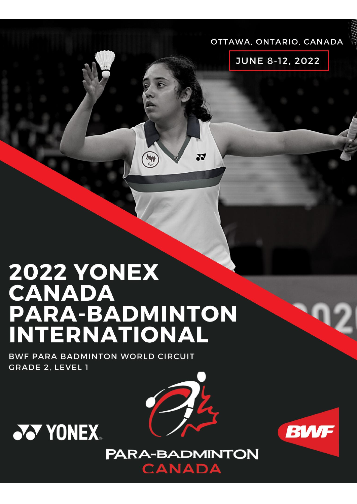#### OTTAWA, ONTARIO, CANADA

**JUNE 8-12, 2022** 

# **2022 YONEX CANADA** PARA-BADMINTON **INTERNATIONAL**

BWF PARA BADMINTON WORLD CIRCUIT **GRADE 2, LEVEL 1** 





X



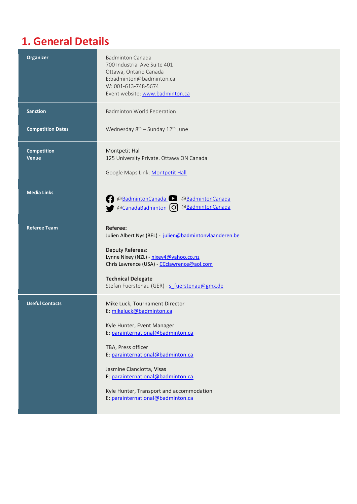## **1. General Details**

| <b>Organizer</b>                   | <b>Badminton Canada</b><br>700 Industrial Ave Suite 401<br>Ottawa, Ontario Canada<br>E:badminton@badminton.ca<br>W: 001-613-748-5674<br>Event website: www.badminton.ca                                                                                                                                                                     |
|------------------------------------|---------------------------------------------------------------------------------------------------------------------------------------------------------------------------------------------------------------------------------------------------------------------------------------------------------------------------------------------|
| <b>Sanction</b>                    | <b>Badminton World Federation</b>                                                                                                                                                                                                                                                                                                           |
| <b>Competition Dates</b>           | Wednesday 8 <sup>th</sup> - Sunday 12 <sup>th</sup> June                                                                                                                                                                                                                                                                                    |
| <b>Competition</b><br><b>Venue</b> | Montpetit Hall<br>125 University Private. Ottawa ON Canada<br>Google Maps Link: Montpetit Hall                                                                                                                                                                                                                                              |
| <b>Media Links</b>                 | @BadmintonCanada<br>@BadmintonCanada<br>@BadmintonCanada<br>@CanadaBadminton (O)                                                                                                                                                                                                                                                            |
| <b>Referee Team</b>                | Referee:<br>Julien Albert Nys (BEL) - julien@badmintonvlaanderen.be<br><b>Deputy Referees:</b><br>Lynne Nixey (NZL) - nixey4@yahoo.co.nz<br>Chris Lawrence (USA) - CCclawrence@aol.com<br><b>Technical Delegate</b><br>Stefan Fuerstenau (GER) - s_fuerstenau@gmx.de                                                                        |
| <b>Useful Contacts</b>             | Mike Luck, Tournament Director<br>E: mikeluck@badminton.ca<br>Kyle Hunter, Event Manager<br>E: parainternational@badminton.ca<br>TBA, Press officer<br>E: parainternational@badminton.ca<br>Jasmine Cianciotta, Visas<br>E: parainternational@badminton.ca<br>Kyle Hunter, Transport and accommodation<br>E: parainternational@badminton.ca |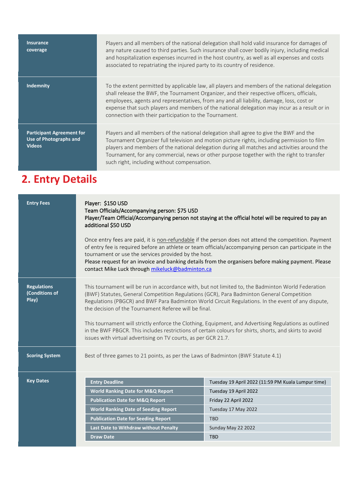**Insurance coverage** Players and all members of the national delegation shall hold valid insurance for damages of any nature caused to third parties. Such insurance shall cover bodily injury, including medical and hospitalization expenses incurred in the host country, as well as all expenses and costs associated to repatriating the injured party to its country of residence. **Indemnity** To the extent permitted by applicable law, all players and members of the national delegation shall release the BWF, the Tournament Organizer, and their respective officers, officials, employees, agents and representatives, from any and all liability, damage, loss, cost or expense that such players and members of the national delegation may incur as a result or in connection with their participation to the Tournament. **Participant Agreement for Use of Photographs and Videos** Players and all members of the national delegation shall agree to give the BWF and the Tournament Organizer full television and motion picture rights, including permission to film players and members of the national delegation during all matches and activities around the Tournament, for any commercial, news or other purpose together with the right to transfer such right, including without compensation.

### **2. Entry Details**

| <b>Entry Fees</b>                             | Player: \$150 USD<br>Team Officials/Accompanying person: \$75 USD<br>Player/Team Official/Accompanying person not staying at the official hotel will be required to pay an<br>additional \$50 USD<br>Once entry fees are paid, it is non-refundable if the person does not attend the competition. Payment<br>of entry fee is required before an athlete or team officials/accompanying person can participate in the<br>tournament or use the services provided by the host.<br>Please request for an invoice and banking details from the organisers before making payment. Please<br>contact Mike Luck through mikeluck@badminton.ca               |                       |  |  |
|-----------------------------------------------|-------------------------------------------------------------------------------------------------------------------------------------------------------------------------------------------------------------------------------------------------------------------------------------------------------------------------------------------------------------------------------------------------------------------------------------------------------------------------------------------------------------------------------------------------------------------------------------------------------------------------------------------------------|-----------------------|--|--|
| <b>Regulations</b><br>(Conditions of<br>Play) | This tournament will be run in accordance with, but not limited to, the Badminton World Federation<br>(BWF) Statutes, General Competition Regulations (GCR), Para Badminton General Competition<br>Regulations (PBGCR) and BWF Para Badminton World Circuit Regulations. In the event of any dispute,<br>the decision of the Tournament Referee will be final.<br>This tournament will strictly enforce the Clothing, Equipment, and Advertising Regulations as outlined<br>in the BWF PBGCR. This includes restrictions of certain colours for shirts, shorts, and skirts to avoid<br>issues with virtual advertising on TV courts, as per GCR 21.7. |                       |  |  |
| <b>Scoring System</b>                         | Best of three games to 21 points, as per the Laws of Badminton (BWF Statute 4.1)                                                                                                                                                                                                                                                                                                                                                                                                                                                                                                                                                                      |                       |  |  |
| <b>Key Dates</b>                              | <b>Entry Deadline</b><br>Tuesday 19 April 2022 (11:59 PM Kuala Lumpur time)                                                                                                                                                                                                                                                                                                                                                                                                                                                                                                                                                                           |                       |  |  |
|                                               | <b>World Ranking Date for M&amp;Q Report</b>                                                                                                                                                                                                                                                                                                                                                                                                                                                                                                                                                                                                          | Tuesday 19 April 2022 |  |  |
|                                               | <b>Publication Date for M&amp;Q Report</b>                                                                                                                                                                                                                                                                                                                                                                                                                                                                                                                                                                                                            | Friday 22 April 2022  |  |  |
|                                               | <b>World Ranking Date of Seeding Report</b>                                                                                                                                                                                                                                                                                                                                                                                                                                                                                                                                                                                                           | Tuesday 17 May 2022   |  |  |
|                                               | <b>Publication Date for Seeding Report</b>                                                                                                                                                                                                                                                                                                                                                                                                                                                                                                                                                                                                            | <b>TBD</b>            |  |  |
|                                               | Last Date to Withdraw without Penalty<br>Sunday May 22 2022<br><b>Draw Date</b><br><b>TBD</b>                                                                                                                                                                                                                                                                                                                                                                                                                                                                                                                                                         |                       |  |  |
|                                               |                                                                                                                                                                                                                                                                                                                                                                                                                                                                                                                                                                                                                                                       |                       |  |  |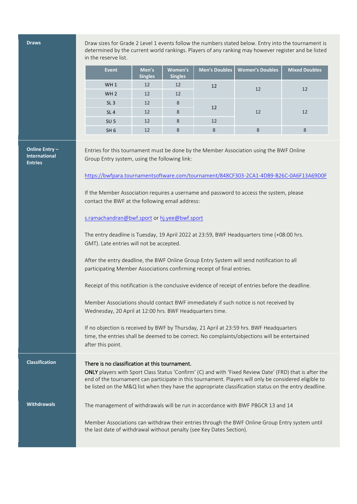**Draws** Draw sizes for Grade 2 Level 1 events follow the numbers stated below. Entry into the tournament is determined by the current world rankings. Players of any ranking may however register and be listed in the reserve list.

| <b>Event</b>    | Men's<br><b>Singles</b> | Women's<br><b>Singles</b> | Men's Doubles | <b>Women's Doubles</b> | <b>Mixed Doubles</b> |  |
|-----------------|-------------------------|---------------------------|---------------|------------------------|----------------------|--|
| WH <sub>1</sub> | 12                      | 12                        | 12            | 12                     | 12                   |  |
| WH <sub>2</sub> | 12                      | 12                        |               |                        |                      |  |
| SL <sub>3</sub> | 12                      | 8                         | 12            |                        |                      |  |
| SL <sub>4</sub> | 12                      | 8                         |               | 12                     | 12                   |  |
| SU <sub>5</sub> | 12                      | 8                         | 12            |                        |                      |  |
| SH <sub>6</sub> | 12                      | 8                         | 8             |                        |                      |  |

**Online Entry – International Entries**

Entries for this tournament must be done by the Member Association using the BWF Online Group Entry system, using the following link:

<https://bwfpara.tournamentsoftware.com/tournament/848CF303-2CA1-4DB9-B26C-0A6F13A69D0F>

If the Member Association requires a username and password to access the system, please contact the BWF at the following email address:

[s.ramachandran@bwf.sport](mailto:s.ramachandran@bwf.sport) or [hj.yee@bwf.sport](mailto:hj.yee@bwf.sport)

The entry deadline is Tuesday, 19 April 2022 at 23:59, BWF Headquarters time (+08:00 hrs. GMT). Late entries will not be accepted.

After the entry deadline, the BWF Online Group Entry System will send notification to all participating Member Associations confirming receipt of final entries.

Receipt of this notification is the conclusive evidence of receipt of entries before the deadline.

Member Associations should contact BWF immediately if such notice is not received by Wednesday, 20 April at 12:00 hrs. BWF Headquarters time.

If no objection is received by BWF by Thursday, 21 April at 23:59 hrs. BWF Headquarters time, the entries shall be deemed to be correct. No complaints/objections will be entertained after this point.

#### **Classification** There is no classification at this tournament.

ONLY players with Sport Class Status 'Confirm' (C) and with 'Fixed Review Date' (FRD) that is after the end of the tournament can participate in this tournament. Players will only be considered eligible to be listed on the M&Q list when they have the appropriate classification status on the entry deadline.

Withdrawals The management of withdrawals will be run in accordance with BWF PBGCR 13 and 14

Member Associations can withdraw their entries through the BWF Online Group Entry system until the last date of withdrawal without penalty (see Key Dates Section).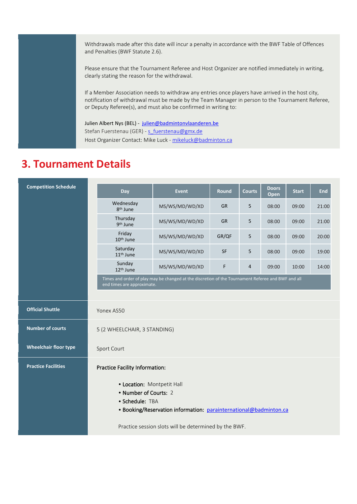Withdrawals made after this date will incur a penalty in accordance with the BWF Table of Offences and Penalties (BWF Statute 2.6).

Please ensure that the Tournament Referee and Host Organizer are notified immediately in writing, clearly stating the reason for the withdrawal.

If a Member Association needs to withdraw any entries once players have arrived in the host city, notification of withdrawal must be made by the Team Manager in person to the Tournament Referee, or Deputy Referee(s), and must also be confirmed in writing to:

Julien Albert Nys (BEL) - [julien@badmintonvlaanderen.be](mailto:julien@badmintonvlaanderen.be) Stefan Fuerstenau (GER) - [s\\_fuerstenau@gmx.de](mailto:s_fuerstenau@gmx.de) Host Organizer Contact: Mike Luck - [mikeluck@badminton.ca](mailto:mikeluck@badminton.ca)

### **3. Tournament Details**

| <b>Competition Schedule</b>  | Day                                                                                                                                         | <b>Event</b>                                                                                       | <b>Round</b> | <b>Courts</b> | <b>Doors</b> | <b>Start</b> | <b>End</b> |
|------------------------------|---------------------------------------------------------------------------------------------------------------------------------------------|----------------------------------------------------------------------------------------------------|--------------|---------------|--------------|--------------|------------|
|                              |                                                                                                                                             |                                                                                                    |              |               | Open         |              |            |
|                              | Wednesday<br>8 <sup>th</sup> June                                                                                                           | MS/WS/MD/WD/XD                                                                                     | <b>GR</b>    | 5             | 08:00        | 09:00        | 21:00      |
|                              | Thursday<br>9 <sup>th</sup> June                                                                                                            | MS/WS/MD/WD/XD                                                                                     | <b>GR</b>    | 5             | 08:00        | 09:00        | 21:00      |
|                              | Friday<br>10 <sup>th</sup> June                                                                                                             | MS/WS/MD/WD/XD                                                                                     | GR/QF        | 5             | 08:00        | 09:00        | 20:00      |
|                              | Saturday<br>11 <sup>th</sup> June                                                                                                           | MS/WS/MD/WD/XD                                                                                     | <b>SF</b>    | 5             | 08:00        | 09:00        | 19:00      |
|                              | Sunday<br>12 <sup>th</sup> June                                                                                                             | MS/WS/MD/WD/XD                                                                                     | F            | 4             | 09:00        | 10:00        | 14:00      |
|                              | end times are approximate.                                                                                                                  | Times and order of play may be changed at the discretion of the Tournament Referee and BWF and all |              |               |              |              |            |
|                              |                                                                                                                                             |                                                                                                    |              |               |              |              |            |
| <b>Official Shuttle</b>      | Yonex AS50                                                                                                                                  |                                                                                                    |              |               |              |              |            |
| <b>Number of courts</b>      | 5 (2 WHEELCHAIR, 3 STANDING)                                                                                                                |                                                                                                    |              |               |              |              |            |
| <b>Wheelchair floor type</b> | Sport Court                                                                                                                                 |                                                                                                    |              |               |              |              |            |
| <b>Practice Facilities</b>   | <b>Practice Facility Information:</b>                                                                                                       |                                                                                                    |              |               |              |              |            |
|                              | • Location: Montpetit Hall<br>• Number of Courts: 2<br>• Schedule: TBA<br>• Booking/Reservation information: parainternational@badminton.ca |                                                                                                    |              |               |              |              |            |
|                              | Practice session slots will be determined by the BWF.                                                                                       |                                                                                                    |              |               |              |              |            |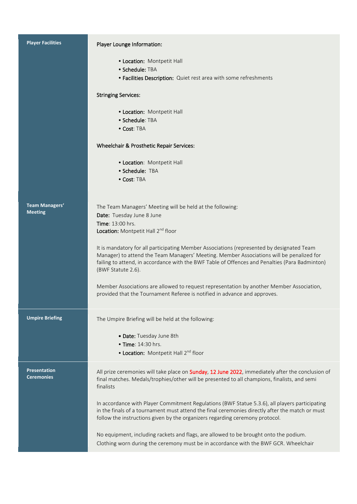| <b>Player Facilities</b>                 | Player Lounge Information:                                                                                                                                                                                                                                                                                    |
|------------------------------------------|---------------------------------------------------------------------------------------------------------------------------------------------------------------------------------------------------------------------------------------------------------------------------------------------------------------|
|                                          | • Location: Montpetit Hall<br>• Schedule: TBA                                                                                                                                                                                                                                                                 |
|                                          | • Facilities Description: Quiet rest area with some refreshments                                                                                                                                                                                                                                              |
|                                          | <b>Stringing Services:</b>                                                                                                                                                                                                                                                                                    |
|                                          | • Location: Montpetit Hall                                                                                                                                                                                                                                                                                    |
|                                          | $\bullet$ Schedule: <code>TBA</code><br>• Cost: TBA                                                                                                                                                                                                                                                           |
|                                          | Wheelchair & Prosthetic Repair Services:                                                                                                                                                                                                                                                                      |
|                                          |                                                                                                                                                                                                                                                                                                               |
|                                          | • Location: Montpetit Hall<br>• Schedule: TBA                                                                                                                                                                                                                                                                 |
|                                          | • Cost: TBA                                                                                                                                                                                                                                                                                                   |
|                                          |                                                                                                                                                                                                                                                                                                               |
| <b>Team Managers'</b><br><b>Meeting</b>  | The Team Managers' Meeting will be held at the following:                                                                                                                                                                                                                                                     |
|                                          | Date: Tuesday June 8 June<br><b>Time: 13:00 hrs.</b>                                                                                                                                                                                                                                                          |
|                                          | Location: Montpetit Hall 2nd floor                                                                                                                                                                                                                                                                            |
|                                          | It is mandatory for all participating Member Associations (represented by designated Team<br>Manager) to attend the Team Managers' Meeting. Member Associations will be penalized for<br>failing to attend, in accordance with the BWF Table of Offences and Penalties (Para Badminton)<br>(BWF Statute 2.6). |
|                                          | Member Associations are allowed to request representation by another Member Association,<br>provided that the Tournament Referee is notified in advance and approves.                                                                                                                                         |
| <b>Umpire Briefing</b>                   | The Umpire Briefing will be held at the following:                                                                                                                                                                                                                                                            |
|                                          | • Date: Tuesday June 8th                                                                                                                                                                                                                                                                                      |
|                                          | • Time: 14:30 hrs.                                                                                                                                                                                                                                                                                            |
|                                          | • Location: Montpetit Hall 2nd floor                                                                                                                                                                                                                                                                          |
| <b>Presentation</b><br><b>Ceremonies</b> | All prize ceremonies will take place on <b>Sunday, 12 June 2022</b> , immediately after the conclusion of<br>final matches. Medals/trophies/other will be presented to all champions, finalists, and semi<br>finalists                                                                                        |
|                                          | In accordance with Player Commitment Regulations (BWF Statue 5.3.6), all players participating<br>in the finals of a tournament must attend the final ceremonies directly after the match or must<br>follow the instructions given by the organizers regarding ceremony protocol.                             |
|                                          | No equipment, including rackets and flags, are allowed to be brought onto the podium.<br>Clothing worn during the ceremony must be in accordance with the BWF GCR. Wheelchair                                                                                                                                 |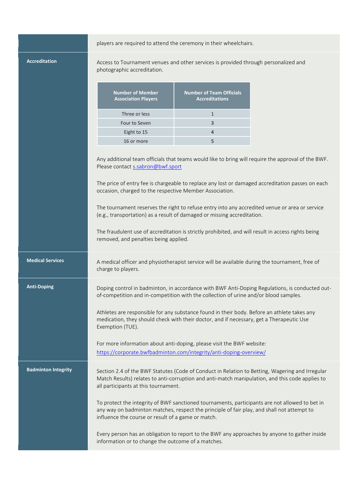|                            | players are required to attend the ceremony in their wheelchairs.                                                                     |                                                                                                                                                                                                                                                                                                                                                          |                                                                                                                                                                                                        |  |
|----------------------------|---------------------------------------------------------------------------------------------------------------------------------------|----------------------------------------------------------------------------------------------------------------------------------------------------------------------------------------------------------------------------------------------------------------------------------------------------------------------------------------------------------|--------------------------------------------------------------------------------------------------------------------------------------------------------------------------------------------------------|--|
| <b>Accreditation</b>       | Access to Tournament venues and other services is provided through personalized and<br>photographic accreditation.                    |                                                                                                                                                                                                                                                                                                                                                          |                                                                                                                                                                                                        |  |
|                            | <b>Number of Member</b><br><b>Association Players</b>                                                                                 | <b>Number of Team Officials</b><br><b>Accreditations</b>                                                                                                                                                                                                                                                                                                 |                                                                                                                                                                                                        |  |
|                            | Three or less                                                                                                                         | $\mathbf{1}$                                                                                                                                                                                                                                                                                                                                             |                                                                                                                                                                                                        |  |
|                            | Four to Seven                                                                                                                         | 3                                                                                                                                                                                                                                                                                                                                                        |                                                                                                                                                                                                        |  |
|                            | Eight to 15                                                                                                                           | $\overline{4}$                                                                                                                                                                                                                                                                                                                                           |                                                                                                                                                                                                        |  |
|                            | 16 or more                                                                                                                            | 5                                                                                                                                                                                                                                                                                                                                                        |                                                                                                                                                                                                        |  |
|                            | Please contact s.sabron@bwf.sport<br>occasion, charged to the respective Member Association.<br>removed, and penalties being applied. | The tournament reserves the right to refuse entry into any accredited venue or area or service<br>(e.g., transportation) as a result of damaged or missing accreditation.<br>The fraudulent use of accreditation is strictly prohibited, and will result in access rights being                                                                          | Any additional team officials that teams would like to bring will require the approval of the BWF.<br>The price of entry fee is chargeable to replace any lost or damaged accreditation passes on each |  |
| <b>Medical Services</b>    | charge to players.                                                                                                                    | A medical officer and physiotherapist service will be available during the tournament, free of                                                                                                                                                                                                                                                           |                                                                                                                                                                                                        |  |
| <b>Anti-Doping</b>         | Exemption (TUE).                                                                                                                      | of-competition and in-competition with the collection of urine and/or blood samples.<br>Athletes are responsible for any substance found in their body. Before an athlete takes any<br>medication, they should check with their doctor, and if necessary, get a Therapeutic Use<br>For more information about anti-doping, please visit the BWF website: | Doping control in badminton, in accordance with BWF Anti-Doping Regulations, is conducted out-                                                                                                         |  |
|                            |                                                                                                                                       | https://corporate.bwfbadminton.com/integrity/anti-doping-overview/                                                                                                                                                                                                                                                                                       |                                                                                                                                                                                                        |  |
| <b>Badminton Integrity</b> | all participants at this tournament.<br>influence the course or result of a game or match.                                            | To protect the integrity of BWF sanctioned tournaments, participants are not allowed to bet in<br>any way on badminton matches, respect the principle of fair play, and shall not attempt to                                                                                                                                                             | Section 2.4 of the BWF Statutes (Code of Conduct in Relation to Betting, Wagering and Irregular<br>Match Results) relates to anti-corruption and anti-match manipulation, and this code applies to     |  |
|                            | information or to change the outcome of a matches.                                                                                    |                                                                                                                                                                                                                                                                                                                                                          | Every person has an obligation to report to the BWF any approaches by anyone to gather inside                                                                                                          |  |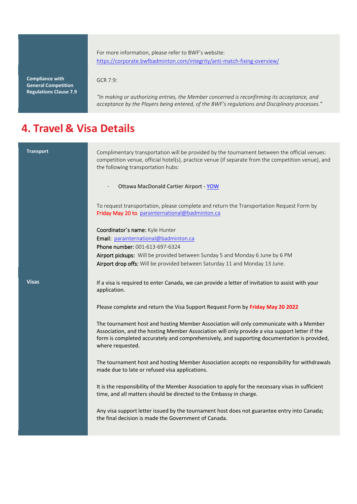For more information, please refer to BWF's website: <https://corporate.bwfbadminton.com/integrity/anti-match-fixing-overview/>

**Compliance with General Competition Regulations Clause 7.9** GCR 7.9:

*"In making or authorizing entries, the Member concerned is reconfirming its acceptance, and acceptance by the Players being entered, of the BWF's regulations and Disciplinary processes."*

### **4. Travel & Visa Details**

| <b>Transport</b> | Complimentary transportation will be provided by the tournament between the official venues:<br>competition venue, official hotel(s), practice venue (if separate from the competition venue), and<br>the following transportation hubs:                                                                    |
|------------------|-------------------------------------------------------------------------------------------------------------------------------------------------------------------------------------------------------------------------------------------------------------------------------------------------------------|
|                  | Ottawa MacDonald Cartier Airport - YOW                                                                                                                                                                                                                                                                      |
|                  | To request transportation, please complete and return the Transportation Request Form by<br>Friday May 20 to parainternational@badminton.ca                                                                                                                                                                 |
|                  | Coordinator's name: Kyle Hunter                                                                                                                                                                                                                                                                             |
|                  | Email: parainternational@badminton.ca                                                                                                                                                                                                                                                                       |
|                  | Phone number: 001-613-697-6324<br>Airport pickups: Will be provided between Sunday 5 and Monday 6 June by 6 PM                                                                                                                                                                                              |
|                  | Airport drop offs: Will be provided between Saturday 11 and Monday 13 June.                                                                                                                                                                                                                                 |
|                  |                                                                                                                                                                                                                                                                                                             |
| <b>Visas</b>     | If a visa is required to enter Canada, we can provide a letter of invitation to assist with your<br>application.                                                                                                                                                                                            |
|                  | Please complete and return the Visa Support Request Form by Friday May 20 2022                                                                                                                                                                                                                              |
|                  | The tournament host and hosting Member Association will only communicate with a Member<br>Association, and the hosting Member Association will only provide a visa support letter if the<br>form is completed accurately and comprehensively, and supporting documentation is provided,<br>where requested. |
|                  | The tournament host and hosting Member Association accepts no responsibility for withdrawals<br>made due to late or refused visa applications.                                                                                                                                                              |
|                  | It is the responsibility of the Member Association to apply for the necessary visas in sufficient<br>time, and all matters should be directed to the Embassy in charge.                                                                                                                                     |
|                  | Any visa support letter issued by the tournament host does not guarantee entry into Canada;<br>the final decision is made the Government of Canada.                                                                                                                                                         |
|                  |                                                                                                                                                                                                                                                                                                             |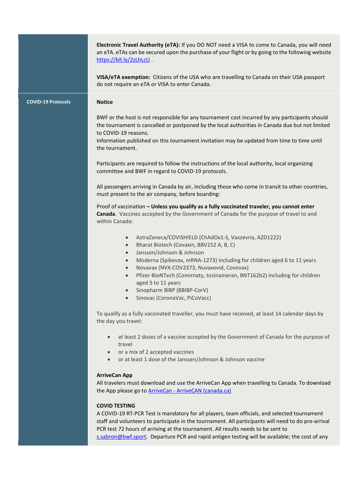|                           | Electronic Travel Authority (eTA): If you DO NOT need a VISA to come to Canada, you will need<br>an eTA. eTAs can be secured upon the purchase of your flight or by going to the following website<br>https://bit.ly/2zLhLcU                                                                                                                                                                                      |  |  |  |
|---------------------------|-------------------------------------------------------------------------------------------------------------------------------------------------------------------------------------------------------------------------------------------------------------------------------------------------------------------------------------------------------------------------------------------------------------------|--|--|--|
|                           | VISA/eTA exemption: Citizens of the USA who are travelling to Canada on their USA passport<br>do not require an eTA or VISA to enter Canada.                                                                                                                                                                                                                                                                      |  |  |  |
| <b>COVID-19 Protocols</b> | <b>Notice</b>                                                                                                                                                                                                                                                                                                                                                                                                     |  |  |  |
|                           | BWF or the host is not responsible for any tournament cost incurred by any participants should<br>the tournament is cancelled or postponed by the local authorities in Canada due but not limited<br>to COVID-19 reasons.<br>Information published on this tournament invitation may be updated from time to time until                                                                                           |  |  |  |
|                           | the tournament.                                                                                                                                                                                                                                                                                                                                                                                                   |  |  |  |
|                           | Participants are required to follow the instructions of the local authority, local organizing<br>committee and BWF in regard to COVID-19 protocols.                                                                                                                                                                                                                                                               |  |  |  |
|                           | All passengers arriving in Canada by air, including those who come in transit to other countries,<br>must present to the air company, before boarding:                                                                                                                                                                                                                                                            |  |  |  |
|                           | Proof of vaccination - Unless you qualify as a fully vaccinated traveler, you cannot enter<br>Canada. Vaccines accepted by the Government of Canada for the purpose of travel to and<br>within Canada:                                                                                                                                                                                                            |  |  |  |
|                           | AstraZeneca/COVISHIELD (ChAdOx1-S, Vaxzevria, AZD1222)<br>$\bullet$<br>Bharat Biotech (Covaxin, BBV152 A, B, C)<br>$\bullet$<br>Janssen/Johnson & Johnson<br>$\bullet$                                                                                                                                                                                                                                            |  |  |  |
|                           | Moderna (Spikevax, mRNA-1273) including for children aged 6 to 11 years<br>$\bullet$<br>Novavax (NVX-COV2373, Nuvaxovid, Covovax)<br>$\bullet$<br>Pfizer-BioNTech (Comirnaty, tozinameran, BNT162b2) including for children<br>$\bullet$<br>aged 5 to 11 years<br>Sinopharm BIBP (BBIBP-CorV)<br>$\bullet$<br>Sinovac (CoronaVac, PiCoVacc)<br>$\bullet$                                                          |  |  |  |
|                           | To qualify as a fully vaccinated traveller, you must have received, at least 14 calendar days by<br>the day you travel:                                                                                                                                                                                                                                                                                           |  |  |  |
|                           | at least 2 doses of a vaccine accepted by the Government of Canada for the purpose of<br>$\bullet$<br>travel<br>or a mix of 2 accepted vaccines                                                                                                                                                                                                                                                                   |  |  |  |
|                           | $\bullet$<br>or at least 1 dose of the Janssen/Johnson & Johnson vaccine<br>$\bullet$                                                                                                                                                                                                                                                                                                                             |  |  |  |
|                           | <b>ArriveCan App</b><br>All travelers must download and use the ArriveCan App when travelling to Canada. To download<br>the App please go to <b>ArriveCan - ArriveCAN</b> (canada.ca)                                                                                                                                                                                                                             |  |  |  |
|                           | <b>COVID TESTING</b><br>A COVID-19 RT-PCR Test is mandatory for all players, team officials, and selected tournament<br>staff and volunteers to participate in the tournament. All participants will need to do pre-arrival<br>PCR test 72 hours of arriving at the tournament. All results needs to be sent to<br>s.sabron@bwf.sport. Departure PCR and rapid antigen testing will be available; the cost of any |  |  |  |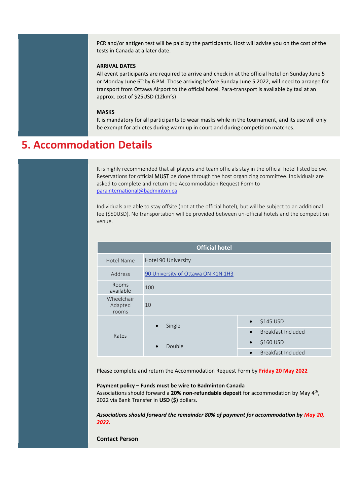PCR and/or antigen test will be paid by the participants. Host will advise you on the cost of the tests in Canada at a later date.

#### **ARRIVAL DATES**

All event participants are required to arrive and check in at the official hotel on Sunday June 5 or Monday June 6<sup>th</sup> by 6 PM. Those arriving before Sunday June 5 2022, will need to arrange for transport from Ottawa Airport to the official hotel. Para-transport is available by taxi at an approx. cost of \$25USD (12km's)

#### **MASKS**

It is mandatory for all participants to wear masks while in the tournament, and its use will only be exempt for athletes during warm up in court and during competition matches.

### **5. Accommodation Details**

It is highly recommended that all players and team officials stay in the official hotel listed below. Reservations for official MUST be done through the host organizing committee. Individuals are asked to complete and return the Accommodation Request Form to [parainternational@badminton.ca](mailto:parainternational@badminton.ca)

Individuals are able to stay offsite (not at the official hotel), but will be subject to an additional fee (\$50USD). No transportation will be provided between un-official hotels and the competition venue.

| <b>Official hotel</b>          |                                    |                                 |  |  |
|--------------------------------|------------------------------------|---------------------------------|--|--|
| Hotel Name                     | Hotel 90 University                |                                 |  |  |
| Address                        | 90 University of Ottawa ON K1N 1H3 |                                 |  |  |
| <b>Rooms</b><br>available      | 100                                |                                 |  |  |
| Wheelchair<br>Adapted<br>rooms | 10                                 |                                 |  |  |
|                                | Single<br>$\bullet$                | \$145 USD<br>$\bullet$          |  |  |
| Rates                          |                                    | Breakfast Included<br>$\bullet$ |  |  |
|                                | Double<br>$\bullet$                | \$160 USD<br>$\bullet$          |  |  |
|                                |                                    | Breakfast Included<br>$\bullet$ |  |  |

Please complete and return the Accommodation Request Form by **Friday 20 May 2022**

#### **Payment policy – Funds must be wire to Badminton Canada**

Associations should forward a 20% non-refundable deposit for accommodation by May 4<sup>th</sup>, 2022 via Bank Transfer in **USD (\$)** dollars.

*Associations should forward the remainder 80% of payment for accommodation by May 20, 2022.*

**Contact Person**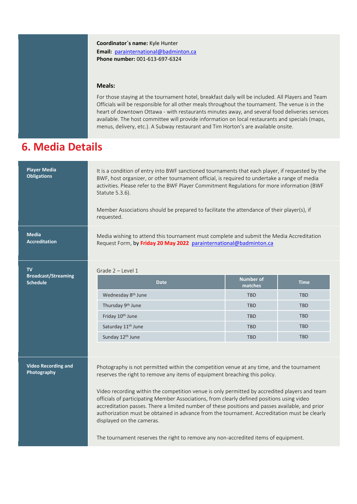**Coordinator`s name:** Kyle Hunter **Email:** [parainternational@badminton.ca](mailto:parainternational@badminton.ca) **Phone number:** 001-613-697-6324

#### **Meals:**

For those staying at the tournament hotel, breakfast daily will be included. All Players and Team Officials will be responsible for all other meals throughout the tournament. The venue is in the heart of downtown Ottawa - with restaurants minutes away, and several food deliveries services available. The host committee will provide information on local restaurants and specials (maps, menus, delivery, etc.). A Subway restaurant and Tim Horton's are available onsite.

### **6. Media Details**

| <b>Player Media</b><br><b>Obligations</b>     | It is a condition of entry into BWF sanctioned tournaments that each player, if requested by the<br>BWF, host organizer, or other tournament official, is required to undertake a range of media<br>activities. Please refer to the BWF Player Commitment Regulations for more information (BWF<br>Statute 5.3.6).<br>Member Associations should be prepared to facilitate the attendance of their player(s), if<br>requested.                                                                                                                                                                         |                             |             |  |
|-----------------------------------------------|--------------------------------------------------------------------------------------------------------------------------------------------------------------------------------------------------------------------------------------------------------------------------------------------------------------------------------------------------------------------------------------------------------------------------------------------------------------------------------------------------------------------------------------------------------------------------------------------------------|-----------------------------|-------------|--|
| <b>Media</b><br><b>Accreditation</b>          | Media wishing to attend this tournament must complete and submit the Media Accreditation<br>Request Form, by Friday 20 May 2022 parainternational@badminton.ca                                                                                                                                                                                                                                                                                                                                                                                                                                         |                             |             |  |
| <b>TV</b>                                     | Grade $2 -$ Level 1                                                                                                                                                                                                                                                                                                                                                                                                                                                                                                                                                                                    |                             |             |  |
| <b>Broadcast/Streaming</b><br><b>Schedule</b> | <b>Date</b>                                                                                                                                                                                                                                                                                                                                                                                                                                                                                                                                                                                            | <b>Number of</b><br>matches | <b>Time</b> |  |
|                                               | Wednesday 8 <sup>th</sup> June                                                                                                                                                                                                                                                                                                                                                                                                                                                                                                                                                                         | <b>TBD</b>                  | <b>TBD</b>  |  |
|                                               | Thursday 9th June                                                                                                                                                                                                                                                                                                                                                                                                                                                                                                                                                                                      | <b>TBD</b>                  | <b>TBD</b>  |  |
|                                               | Friday 10 <sup>th</sup> June                                                                                                                                                                                                                                                                                                                                                                                                                                                                                                                                                                           | <b>TBD</b>                  | <b>TBD</b>  |  |
|                                               | Saturday 11 <sup>th</sup> June                                                                                                                                                                                                                                                                                                                                                                                                                                                                                                                                                                         | <b>TBD</b>                  | <b>TBD</b>  |  |
|                                               | Sunday 12 <sup>th</sup> June                                                                                                                                                                                                                                                                                                                                                                                                                                                                                                                                                                           | <b>TBD</b>                  | <b>TBD</b>  |  |
|                                               |                                                                                                                                                                                                                                                                                                                                                                                                                                                                                                                                                                                                        |                             |             |  |
| <b>Video Recording and</b><br>Photography     | Photography is not permitted within the competition venue at any time, and the tournament<br>reserves the right to remove any items of equipment breaching this policy.<br>Video recording within the competition venue is only permitted by accredited players and team<br>officials of participating Member Associations, from clearly defined positions using video<br>accreditation passes. There a limited number of these positions and passes available, and prior<br>authorization must be obtained in advance from the tournament. Accreditation must be clearly<br>displayed on the cameras. |                             |             |  |
|                                               | The tournament reserves the right to remove any non-accredited items of equipment.                                                                                                                                                                                                                                                                                                                                                                                                                                                                                                                     |                             |             |  |